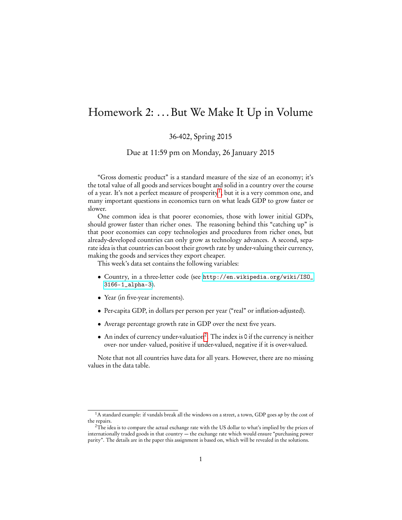## Homework 2: . . . But We Make It Up in Volume

## 36-402, Spring 2015

Due at 11:59 pm on Monday, 26 January 2015

"Gross domestic product" is a standard measure of the size of an economy; it's the total value of all goods and services bought and solid in a country over the course of a year. It's not a perfect measure of prosperity<sup>[1](#page-0-0)</sup>, but it is a very common one, and many important questions in economics turn on what leads GDP to grow faster or slower.

One common idea is that poorer economies, those with lower initial GDPs, should grower faster than richer ones. The reasoning behind this "catching up" is that poor economies can copy technologies and procedures from richer ones, but already-developed countries can only grow as technology advances. A second, separate idea is that countries can boost their growth rate by under-valuing their currency, making the goods and services they export cheaper.

This week's data set contains the following variables:

- Country, in a three-letter code (see [http://en.wikipedia.org/wiki/ISO\\_](http://en.wikipedia.org/wiki/ISO_3166-1_alpha-3) [3166-1\\_alpha-3](http://en.wikipedia.org/wiki/ISO_3166-1_alpha-3)).
- Year (in five-year increments).
- Per-capita GDP, in dollars per person per year ("real" or inflation-adjusted).
- Average percentage growth rate in GDP over the next five years.
- An index of currency under-valuation[2](#page-0-1) . The index is 0 if the currency is neither over- nor under- valued, positive if under-valued, negative if it is over-valued.

Note that not all countries have data for all years. However, there are no missing values in the data table.

<span id="page-0-0"></span><sup>&</sup>lt;sup>1</sup>A standard example: if vandals break all the windows on a street, a town, GDP goes  $up$  by the cost of the repairs.

<span id="page-0-1"></span><sup>2</sup>The idea is to compare the actual exchange rate with the US dollar to what's implied by the prices of internationally traded goods in that country — the exchange rate which would ensure "purchasing power parity". The details are in the paper this assignment is based on, which will be revealed in the solutions.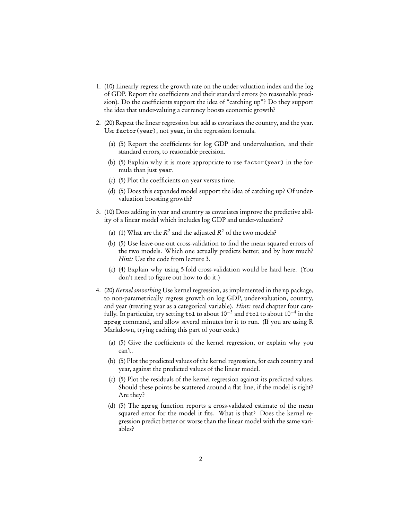- 1. (10) Linearly regress the growth rate on the under-valuation index and the log of GDP. Report the coefficients and their standard errors (to reasonable precision). Do the coefficients support the idea of "catching up"? Do they support the idea that under-valuing a currency boosts economic growth?
- 2. (20) Repeat the linear regression but add as covariates the country, and the year. Use factor(year), not year, in the regression formula.
	- (a) (5) Report the coefficients for log GDP and undervaluation, and their standard errors, to reasonable precision.
	- (b) (5) Explain why it is more appropriate to use factor(year) in the formula than just year.
	- (c) (5) Plot the coefficients on year versus time.
	- (d) (5) Does this expanded model support the idea of catching up? Of undervaluation boosting growth?
- 3. (10) Does adding in year and country as covariates improve the predictive ability of a linear model which includes log GDP and under-valuation?
	- (a) (1) What are the  $R^2$  and the adjusted  $R^2$  of the two models?
	- (b) (5) Use leave-one-out cross-validation to find the mean squared errors of the two models. Which one actually predicts better, and by how much? Hint: Use the code from lecture 3.
	- (c) (4) Explain why using 5-fold cross-validation would be hard here. (You don't need to figure out how to do it.)
- 4. (20) Kernel smoothing Use kernel regression, as implemented in the np package, to non-parametrically regress growth on log GDP, under-valuation, country, and year (treating year as a categorical variable). Hint: read chapter four carefully. In particular, try setting tol to about  $10^{-3}$  and ftol to about  $10^{-4}$  in the npreg command, and allow several minutes for it to run. (If you are using R Markdown, trying caching this part of your code.)
	- (a) (5) Give the coefficients of the kernel regression, or explain why you can't.
	- (b) (5) Plot the predicted values of the kernel regression, for each country and year, against the predicted values of the linear model.
	- (c) (5) Plot the residuals of the kernel regression against its predicted values. Should these points be scattered around a flat line, if the model is right? Are they?
	- (d) (5) The npreg function reports a cross-validated estimate of the mean squared error for the model it fits. What is that? Does the kernel regression predict better or worse than the linear model with the same variables?